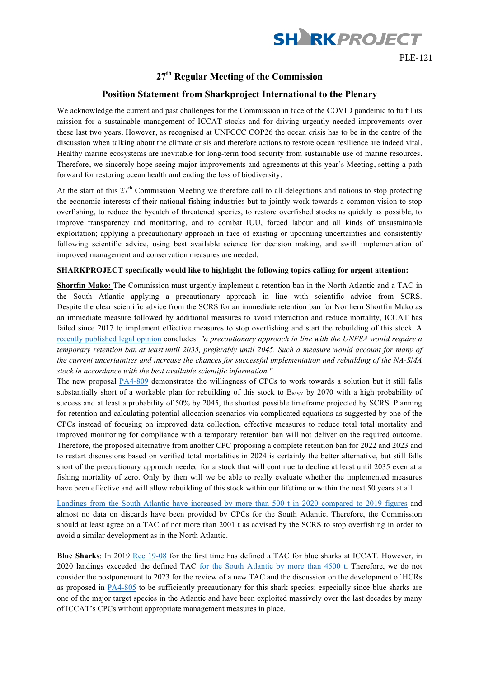

## **27th Regular Meeting of the Commission**

## **Position Statement from Sharkproject International to the Plenary**

We acknowledge the current and past challenges for the Commission in face of the COVID pandemic to fulfil its mission for a sustainable management of ICCAT stocks and for driving urgently needed improvements over these last two years. However, as recognised at UNFCCC COP26 the ocean crisis has to be in the centre of the discussion when talking about the climate crisis and therefore actions to restore ocean resilience are indeed vital. Healthy marine ecosystems are inevitable for long-term food security from sustainable use of marine resources. Therefore, we sincerely hope seeing major improvements and agreements at this year's Meeting, setting a path forward for restoring ocean health and ending the loss of biodiversity.

At the start of this  $27<sup>th</sup>$  Commission Meeting we therefore call to all delegations and nations to stop protecting the economic interests of their national fishing industries but to jointly work towards a common vision to stop overfishing, to reduce the bycatch of threatened species, to restore overfished stocks as quickly as possible, to improve transparency and monitoring, and to combat IUU, forced labour and all kinds of unsustainable exploitation; applying a precautionary approach in face of existing or upcoming uncertainties and consistently following scientific advice, using best available science for decision making, and swift implementation of improved management and conservation measures are needed.

## **SHARKPROJECT specifically would like to highlight the following topics calling for urgent attention:**

**Shortfin Mako:** The Commission must urgently implement a retention ban in the North Atlantic and a TAC in the South Atlantic applying a precautionary approach in line with scientific advice from SCRS. Despite the clear scientific advice from the SCRS for an immediate retention ban for Northern Shortfin Mako as an immediate measure followed by additional measures to avoid interaction and reduce mortality, ICCAT has failed since 2017 to implement effective measures to stop overfishing and start the rebuilding of this stock. A recently published legal opinion concludes: *"a precautionary approach in line with the UNFSA would require a* temporary retention ban at least until 2035, preferably until 2045. Such a measure would account for many of *the current uncertainties and increase the chances for successful implementation and rebuilding of the NA-SMA stock in accordance with the best available scientific information."*

The new proposal PA4-809 demonstrates the willingness of CPCs to work towards a solution but it still falls substantially short of a workable plan for rebuilding of this stock to B<sub>MSY</sub> by 2070 with a high probability of success and at least a probability of 50% by 2045, the shortest possible timeframe projected by SCRS. Planning for retention and calculating potential allocation scenarios via complicated equations as suggested by one of the CPCs instead of focusing on improved data collection, effective measures to reduce total total mortality and improved monitoring for compliance with a temporary retention ban will not deliver on the required outcome. Therefore, the proposed alternative from another CPC proposing a complete retention ban for 2022 and 2023 and to restart discussions based on verified total mortalities in 2024 is certainly the better alternative, but still falls short of the precautionary approach needed for a stock that will continue to decline at least until 2035 even at a fishing mortality of zero. Only by then will we be able to really evaluate whether the implemented measures have been effective and will allow rebuilding of this stock within our lifetime or within the next 50 years at all.

Landings from the South Atlantic have increased by more than 500 t in 2020 compared to 2019 figures and almost no data on discards have been provided by CPCs for the South Atlantic. Therefore, the Commission should at least agree on a TAC of not more than 2001 t as advised by the SCRS to stop overfishing in order to avoid a similar development as in the North Atlantic.

**Blue Sharks**: In 2019 Rec 19-08 for the first time has defined a TAC for blue sharks at ICCAT. However, in 2020 landings exceeded the defined TAC for the South Atlantic by more than 4500 t. Therefore, we do not consider the postponement to 2023 for the review of a new TAC and the discussion on the development of HCRs as proposed in PA4-805 to be sufficiently precautionary for this shark species; especially since blue sharks are one of the major target species in the Atlantic and have been exploited massively over the last decades by many of ICCAT's CPCs without appropriate management measures in place.